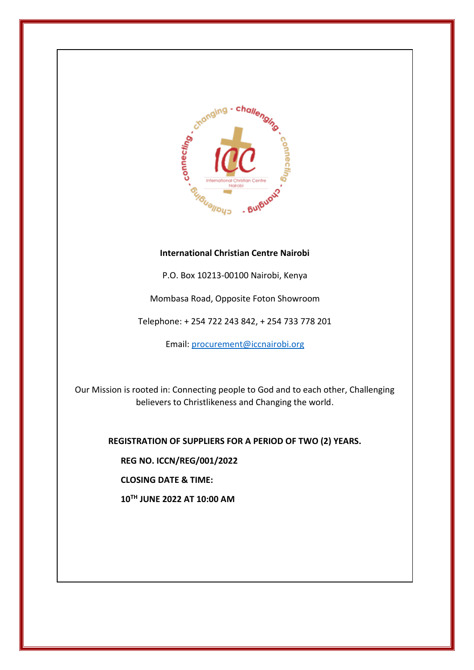

## **International Christian Centre Nairobi**

P.O. Box 10213-00100 Nairobi, Kenya

Mombasa Road, Opposite Foton Showroom

Telephone: + 254 722 243 842, + 254 733 778 201

Email[: procurement@iccnairobi.org](mailto:procurement@iccnairobi.org)

Our Mission is rooted in: Connecting people to God and to each other, Challenging believers to Christlikeness and Changing the world.

**REGISTRATION OF SUPPLIERS FOR A PERIOD OF TWO (2) YEARS.**

**REG NO. ICCN/REG/001/2022**

**CLOSING DATE & TIME:**

**10TH JUNE 2022 AT 10:00 AM**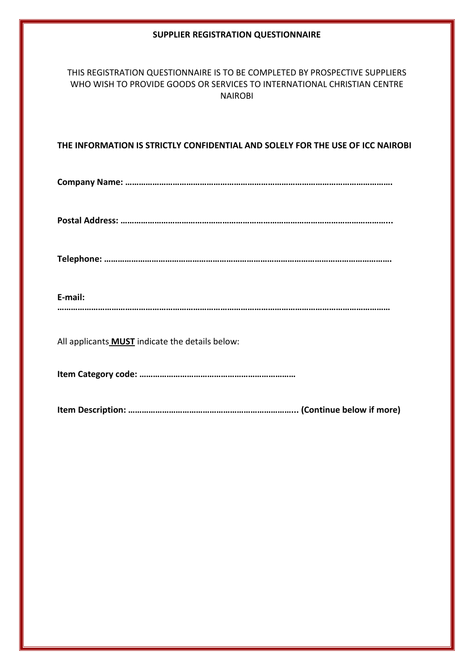### **SUPPLIER REGISTRATION QUESTIONNAIRE**

# THIS REGISTRATION QUESTIONNAIRE IS TO BE COMPLETED BY PROSPECTIVE SUPPLIERS WHO WISH TO PROVIDE GOODS OR SERVICES TO INTERNATIONAL CHRISTIAN CENTRE NAIROBI

## **THE INFORMATION IS STRICTLY CONFIDENTIAL AND SOLELY FOR THE USE OF ICC NAIROBI**

**Company Name: ……………………………………………………………………………………………………….**

**Postal Address: ………………………………………………………………………………………………………...**

**Telephone: ……………………………………………………………………………………………………………….**

#### **E-mail:**

**…………………………………………………………………………………………………………………………………**

All applicants **MUST** indicate the details below:

**Item Category code: ……………………………………………………………**

**Item Description: ………………………………………………………………... (Continue below if more)**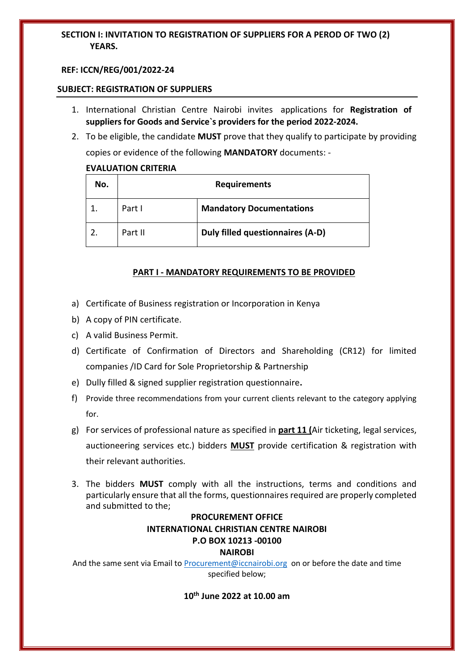## **SECTION I: INVITATION TO REGISTRATION OF SUPPLIERS FOR A PEROD OF TWO (2) YEARS.**

#### **REF: ICCN/REG/001/2022-24**

#### **SUBJECT: REGISTRATION OF SUPPLIERS**

- 1. International Christian Centre Nairobi invites applications for **Registration of suppliers for Goods and Service`s providers for the period 2022-2024.**
- 2. To be eligible, the candidate **MUST** prove that they qualify to participate by providing copies or evidence of the following **MANDATORY** documents: -

### **EVALUATION CRITERIA**

| No. | <b>Requirements</b> |                                  |
|-----|---------------------|----------------------------------|
|     | Part I              | <b>Mandatory Documentations</b>  |
|     | Part II             | Duly filled questionnaires (A-D) |

## **PART I - MANDATORY REQUIREMENTS TO BE PROVIDED**

- a) Certificate of Business registration or Incorporation in Kenya
- b) A copy of PIN certificate.
- c) A valid Business Permit.
- d) Certificate of Confirmation of Directors and Shareholding (CR12) for limited companies /ID Card for Sole Proprietorship & Partnership
- e) Dully filled & signed supplier registration questionnaire**.**
- f) Provide three recommendations from your current clients relevant to the category applying for.
- g) For services of professional nature as specified in **part 11 (**Air ticketing, legal services, auctioneering services etc.) bidders **MUST** provide certification & registration with their relevant authorities.
- 3. The bidders **MUST** comply with all the instructions, terms and conditions and particularly ensure that all the forms, questionnaires required are properly completed and submitted to the;

## **PROCUREMENT OFFICE INTERNATIONAL CHRISTIAN CENTRE NAIROBI P.O BOX 10213 -00100 NAIROBI**

And the same sent via Email to [Procurement@iccnairobi.org](mailto:Procurement@iccnairobi.org) on or before the date and time specified below;

**10th June 2022 at 10.00 am**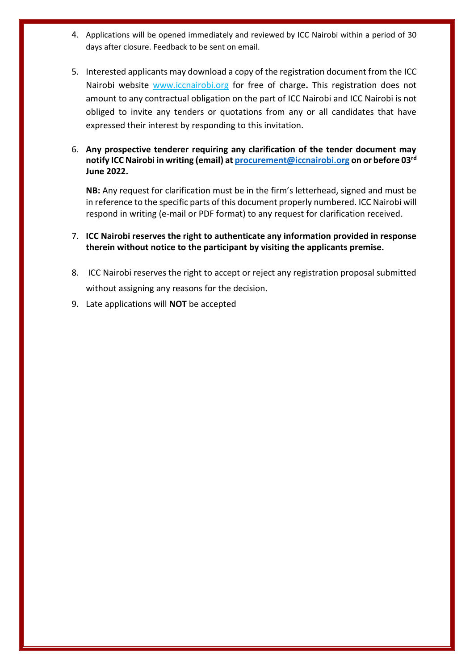- 4. Applications will be opened immediately and reviewed by ICC Nairobi within a period of 30 days after closure. Feedback to be sent on email.
- 5. Interested applicants may download a copy of the registration document from the ICC Nairobi website [www.iccnairobi.org](http://www.iccnairobi.org/) for free of charge**.** This registration does not amount to any contractual obligation on the part of ICC Nairobi and ICC Nairobi is not obliged to invite any tenders or quotations from any or all candidates that have expressed their interest by responding to this invitation.
- 6. **Any prospective tenderer requiring any clarification of the tender document may notify ICC Nairobi in writing (email) at [procurement@iccnairobi.org](mailto:procurement@iccnairobi.org) on or before 03rd June 2022.**

**NB:** Any request for clarification must be in the firm's letterhead, signed and must be in reference to the specific parts of this document properly numbered. ICC Nairobi will respond in writing (e-mail or PDF format) to any request for clarification received.

- 7. **ICC Nairobi reserves the right to authenticate any information provided in response therein without notice to the participant by visiting the applicants premise.**
- 8. ICC Nairobi reserves the right to accept or reject any registration proposal submitted without assigning any reasons for the decision.
- 9. Late applications will **NOT** be accepted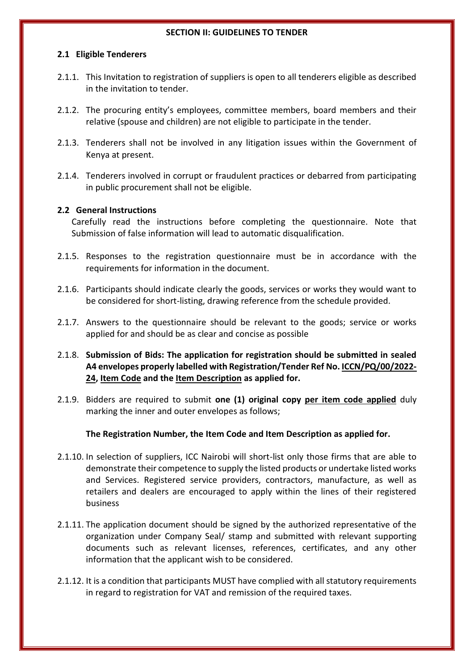#### **SECTION II: GUIDELINES TO TENDER**

### **2.1 Eligible Tenderers**

- 2.1.1. This Invitation to registration of suppliers is open to all tenderers eligible as described in the invitation to tender.
- 2.1.2. The procuring entity's employees, committee members, board members and their relative (spouse and children) are not eligible to participate in the tender.
- 2.1.3. Tenderers shall not be involved in any litigation issues within the Government of Kenya at present.
- 2.1.4. Tenderers involved in corrupt or fraudulent practices or debarred from participating in public procurement shall not be eligible.

## **2.2 General Instructions**

Carefully read the instructions before completing the questionnaire. Note that Submission of false information will lead to automatic disqualification.

- 2.1.5. Responses to the registration questionnaire must be in accordance with the requirements for information in the document.
- 2.1.6. Participants should indicate clearly the goods, services or works they would want to be considered for short-listing, drawing reference from the schedule provided.
- 2.1.7. Answers to the questionnaire should be relevant to the goods; service or works applied for and should be as clear and concise as possible
- 2.1.8. **Submission of Bids: The application for registration should be submitted in sealed A4 envelopes properly labelled with Registration/Tender Ref No. ICCN/PQ/00/2022- 24, Item Code and the Item Description as applied for.**
- 2.1.9. Bidders are required to submit **one (1) original copy per item code applied** duly marking the inner and outer envelopes as follows;

## **The Registration Number, the Item Code and Item Description as applied for.**

- 2.1.10. In selection of suppliers, ICC Nairobi will short-list only those firms that are able to demonstrate their competence to supply the listed products or undertake listed works and Services. Registered service providers, contractors, manufacture, as well as retailers and dealers are encouraged to apply within the lines of their registered business
- 2.1.11. The application document should be signed by the authorized representative of the organization under Company Seal/ stamp and submitted with relevant supporting documents such as relevant licenses, references, certificates, and any other information that the applicant wish to be considered.
- 2.1.12. It is a condition that participants MUST have complied with all statutory requirements in regard to registration for VAT and remission of the required taxes.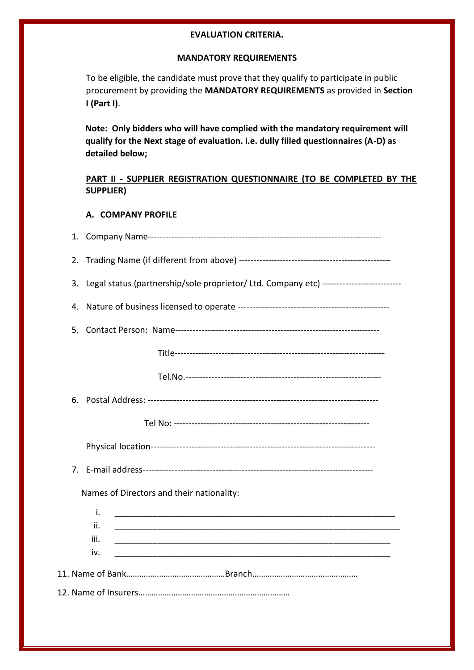## **EVALUATION CRITERIA.**

### **MANDATORY REQUIREMENTS**

To be eligible, the candidate must prove that they qualify to participate in public procurement by providing the **MANDATORY REQUIREMENTS** as provided in **Section I (Part I)**.

**Note: Only bidders who will have complied with the mandatory requirement will qualify for the Next stage of evaluation. i.e. dully filled questionnaires (A-D) as detailed below;**

# **PART II - SUPPLIER REGISTRATION QUESTIONNAIRE (TO BE COMPLETED BY THE SUPPLIER)**

## **A. COMPANY PROFILE**

| 2.                                                                                            |
|-----------------------------------------------------------------------------------------------|
| Legal status (partnership/sole proprietor/ Ltd. Company etc) --------------------------<br>3. |
| 4.                                                                                            |
| 5.                                                                                            |
|                                                                                               |
|                                                                                               |
|                                                                                               |
|                                                                                               |
|                                                                                               |
|                                                                                               |
| Names of Directors and their nationality:                                                     |
| i.<br><u> 1989 - Johann John Stone, mars eta biztanleria (h. 1989).</u>                       |
| ii.                                                                                           |
| iii.                                                                                          |
| iv.                                                                                           |
|                                                                                               |
|                                                                                               |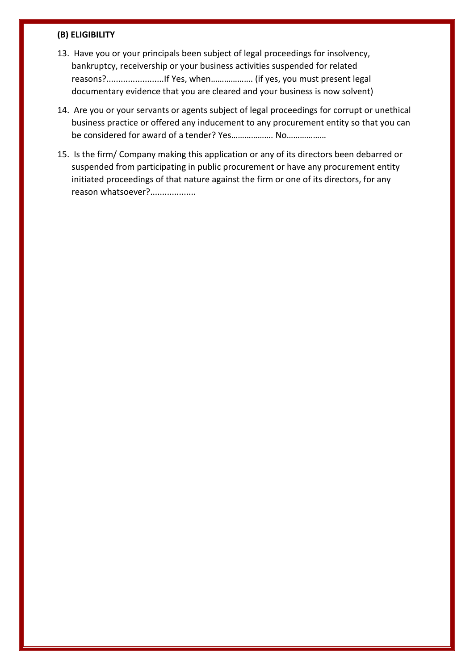#### **(B) ELIGIBILITY**

- 13. Have you or your principals been subject of legal proceedings for insolvency, bankruptcy, receivership or your business activities suspended for related reasons?........................If Yes, when………………. (if yes, you must present legal documentary evidence that you are cleared and your business is now solvent)
- 14. Are you or your servants or agents subject of legal proceedings for corrupt or unethical business practice or offered any inducement to any procurement entity so that you can be considered for award of a tender? Yes………………. No………………
- 15. Is the firm/ Company making this application or any of its directors been debarred or suspended from participating in public procurement or have any procurement entity initiated proceedings of that nature against the firm or one of its directors, for any reason whatsoever?...................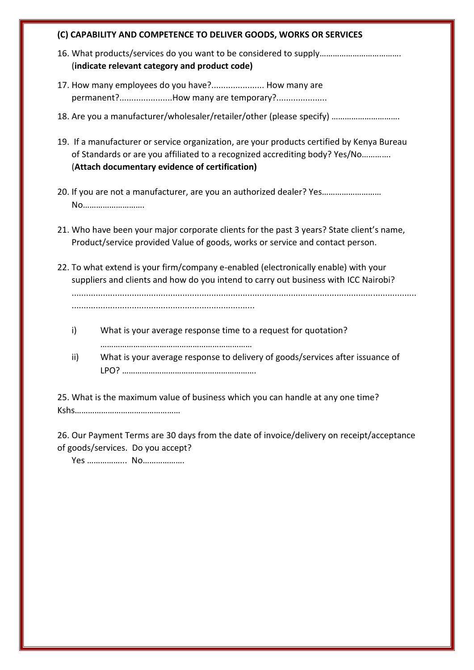#### **(C) CAPABILITY AND COMPETENCE TO DELIVER GOODS, WORKS OR SERVICES**

- 16. What products/services do you want to be considered to supply………………………………. (**indicate relevant category and product code)**
- 17. How many employees do you have?...................... How many are permanent?......................How many are temporary?.........................
- 18. Are you a manufacturer/wholesaler/retailer/other (please specify) ………………………….
- 19. If a manufacturer or service organization, are your products certified by Kenya Bureau of Standards or are you affiliated to a recognized accrediting body? Yes/No…………. (**Attach documentary evidence of certification)**
- 20. If you are not a manufacturer, are you an authorized dealer? Yes……………………… No……………………….
- 21. Who have been your major corporate clients for the past 3 years? State client's name, Product/service provided Value of goods, works or service and contact person.
- 22. To what extend is your firm/company e-enabled (electronically enable) with your suppliers and clients and how do you intend to carry out business with ICC Nairobi?

...............................................................................................................................................

- ............................................................................
- i) What is your average response time to a request for quotation? ……………………………………………………………
- ii) What is your average response to delivery of goods/services after issuance of LPO? …………………………………………………….

25. What is the maximum value of business which you can handle at any one time? Kshs…………………………………………

26. Our Payment Terms are 30 days from the date of invoice/delivery on receipt/acceptance of goods/services. Do you accept?

Yes ……………... No……………….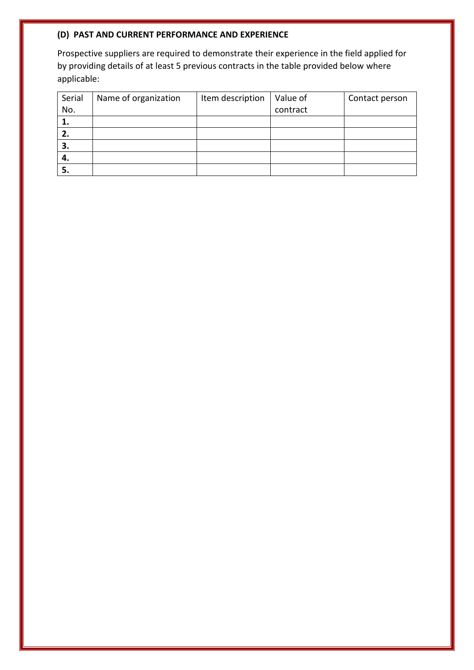# **(D) PAST AND CURRENT PERFORMANCE AND EXPERIENCE**

Prospective suppliers are required to demonstrate their experience in the field applied for by providing details of at least 5 previous contracts in the table provided below where applicable:

| Serial | Name of organization | Item description | Value of | Contact person |
|--------|----------------------|------------------|----------|----------------|
| No.    |                      |                  | contract |                |
| ı.     |                      |                  |          |                |
| 2.     |                      |                  |          |                |
| 3.     |                      |                  |          |                |
| 4.     |                      |                  |          |                |
| 5.     |                      |                  |          |                |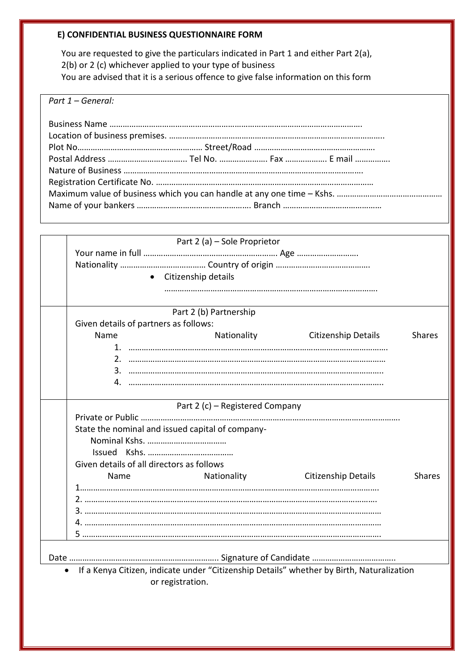# **E) CONFIDENTIAL BUSINESS QUESTIONNAIRE FORM**

You are requested to give the particulars indicated in Part 1 and either Part 2(a), 2(b) or 2 (c) whichever applied to your type of business You are advised that it is a serious offence to give false information on this form

*Part 1 – General:*

|                                                  | Part 2 (a) - Sole Proprietor              |                                                                                           |               |
|--------------------------------------------------|-------------------------------------------|-------------------------------------------------------------------------------------------|---------------|
|                                                  |                                           |                                                                                           |               |
|                                                  |                                           |                                                                                           |               |
|                                                  | Citizenship details<br>$\bullet$          |                                                                                           |               |
|                                                  |                                           |                                                                                           |               |
|                                                  |                                           |                                                                                           |               |
|                                                  | Part 2 (b) Partnership                    |                                                                                           |               |
|                                                  | Given details of partners as follows:     |                                                                                           |               |
| Name                                             | Nationality                               | Citizenship Details                                                                       | <b>Shares</b> |
|                                                  |                                           |                                                                                           |               |
|                                                  |                                           |                                                                                           |               |
|                                                  |                                           |                                                                                           |               |
| 4.                                               |                                           |                                                                                           |               |
|                                                  |                                           |                                                                                           |               |
|                                                  | Part 2 (c) - Registered Company           |                                                                                           |               |
|                                                  |                                           |                                                                                           |               |
| State the nominal and issued capital of company- |                                           |                                                                                           |               |
|                                                  |                                           |                                                                                           |               |
|                                                  |                                           |                                                                                           |               |
|                                                  | Given details of all directors as follows |                                                                                           |               |
| Name                                             | Nationality                               | <b>Citizenship Details</b>                                                                | <b>Shares</b> |
|                                                  |                                           |                                                                                           |               |
|                                                  |                                           |                                                                                           |               |
|                                                  |                                           |                                                                                           |               |
|                                                  |                                           |                                                                                           |               |
|                                                  |                                           |                                                                                           |               |
|                                                  |                                           |                                                                                           |               |
|                                                  |                                           |                                                                                           |               |
| $\bullet$                                        |                                           | If a Kenya Citizen, indicate under "Citizenship Details" whether by Birth, Naturalization |               |
|                                                  | or registration.                          |                                                                                           |               |
|                                                  |                                           |                                                                                           |               |
|                                                  |                                           |                                                                                           |               |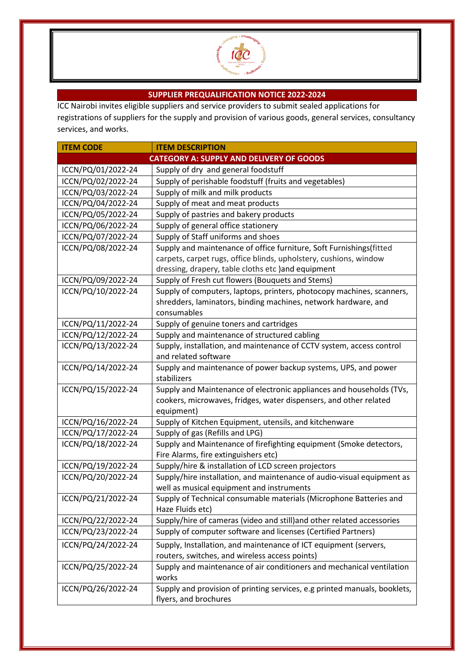

# **SUPPLIER PREQUALIFICATION NOTICE 2022-2024**

ICC Nairobi invites eligible suppliers and service providers to submit sealed applications for registrations of suppliers for the supply and provision of various goods, general services, consultancy services, and works.

| <b>ITEM CODE</b>                                | <b>ITEM DESCRIPTION</b>                                                   |  |
|-------------------------------------------------|---------------------------------------------------------------------------|--|
| <b>CATEGORY A: SUPPLY AND DELIVERY OF GOODS</b> |                                                                           |  |
| ICCN/PQ/01/2022-24                              | Supply of dry and general foodstuff                                       |  |
| ICCN/PQ/02/2022-24                              | Supply of perishable foodstuff (fruits and vegetables)                    |  |
| ICCN/PQ/03/2022-24                              | Supply of milk and milk products                                          |  |
| ICCN/PQ/04/2022-24                              | Supply of meat and meat products                                          |  |
| ICCN/PQ/05/2022-24                              | Supply of pastries and bakery products                                    |  |
| ICCN/PQ/06/2022-24                              | Supply of general office stationery                                       |  |
| ICCN/PQ/07/2022-24                              | Supply of Staff uniforms and shoes                                        |  |
| ICCN/PQ/08/2022-24                              | Supply and maintenance of office furniture, Soft Furnishings(fitted       |  |
|                                                 | carpets, carpet rugs, office blinds, upholstery, cushions, window         |  |
|                                                 | dressing, drapery, table cloths etc )and equipment                        |  |
| ICCN/PQ/09/2022-24                              | Supply of Fresh cut flowers (Bouquets and Stems)                          |  |
| ICCN/PQ/10/2022-24                              | Supply of computers, laptops, printers, photocopy machines, scanners,     |  |
|                                                 | shredders, laminators, binding machines, network hardware, and            |  |
|                                                 | consumables                                                               |  |
| ICCN/PQ/11/2022-24                              | Supply of genuine toners and cartridges                                   |  |
| ICCN/PQ/12/2022-24                              | Supply and maintenance of structured cabling                              |  |
| ICCN/PQ/13/2022-24                              | Supply, installation, and maintenance of CCTV system, access control      |  |
|                                                 | and related software                                                      |  |
| ICCN/PQ/14/2022-24                              | Supply and maintenance of power backup systems, UPS, and power            |  |
|                                                 | stabilizers                                                               |  |
| ICCN/PQ/15/2022-24                              | Supply and Maintenance of electronic appliances and households (TVs,      |  |
|                                                 | cookers, microwaves, fridges, water dispensers, and other related         |  |
| ICCN/PQ/16/2022-24                              | equipment)<br>Supply of Kitchen Equipment, utensils, and kitchenware      |  |
| ICCN/PQ/17/2022-24                              | Supply of gas (Refills and LPG)                                           |  |
| ICCN/PQ/18/2022-24                              | Supply and Maintenance of firefighting equipment (Smoke detectors,        |  |
|                                                 | Fire Alarms, fire extinguishers etc)                                      |  |
| ICCN/PQ/19/2022-24                              | Supply/hire & installation of LCD screen projectors                       |  |
| ICCN/PQ/20/2022-24                              | Supply/hire installation, and maintenance of audio-visual equipment as    |  |
|                                                 | well as musical equipment and instruments                                 |  |
| ICCN/PQ/21/2022-24                              | Supply of Technical consumable materials (Microphone Batteries and        |  |
|                                                 | Haze Fluids etc)                                                          |  |
| ICCN/PQ/22/2022-24                              | Supply/hire of cameras (video and still) and other related accessories    |  |
| ICCN/PQ/23/2022-24                              | Supply of computer software and licenses (Certified Partners)             |  |
| ICCN/PQ/24/2022-24                              | Supply, Installation, and maintenance of ICT equipment (servers,          |  |
|                                                 | routers, switches, and wireless access points)                            |  |
| ICCN/PQ/25/2022-24                              | Supply and maintenance of air conditioners and mechanical ventilation     |  |
|                                                 | works                                                                     |  |
| ICCN/PQ/26/2022-24                              | Supply and provision of printing services, e.g printed manuals, booklets, |  |
|                                                 | flyers, and brochures                                                     |  |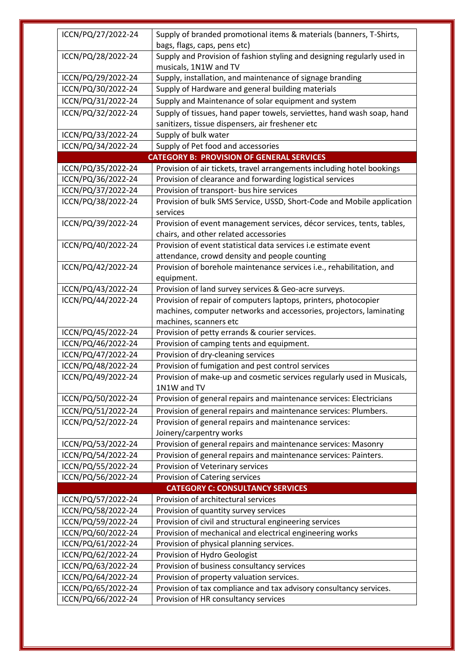| ICCN/PQ/27/2022-24                      | Supply of branded promotional items & materials (banners, T-Shirts,<br>bags, flags, caps, pens etc) |  |
|-----------------------------------------|-----------------------------------------------------------------------------------------------------|--|
| ICCN/PQ/28/2022-24                      | Supply and Provision of fashion styling and designing regularly used in                             |  |
|                                         | musicals, 1N1W and TV                                                                               |  |
| ICCN/PQ/29/2022-24                      | Supply, installation, and maintenance of signage branding                                           |  |
| ICCN/PQ/30/2022-24                      | Supply of Hardware and general building materials                                                   |  |
| ICCN/PQ/31/2022-24                      | Supply and Maintenance of solar equipment and system                                                |  |
| ICCN/PQ/32/2022-24                      | Supply of tissues, hand paper towels, serviettes, hand wash soap, hand                              |  |
|                                         | sanitizers, tissue dispensers, air freshener etc                                                    |  |
| ICCN/PQ/33/2022-24                      | Supply of bulk water                                                                                |  |
| ICCN/PQ/34/2022-24                      | Supply of Pet food and accessories                                                                  |  |
|                                         | <b>CATEGORY B: PROVISION OF GENERAL SERVICES</b>                                                    |  |
| ICCN/PQ/35/2022-24                      | Provision of air tickets, travel arrangements including hotel bookings                              |  |
| ICCN/PQ/36/2022-24                      | Provision of clearance and forwarding logistical services                                           |  |
| ICCN/PQ/37/2022-24                      | Provision of transport- bus hire services                                                           |  |
| ICCN/PQ/38/2022-24                      | Provision of bulk SMS Service, USSD, Short-Code and Mobile application                              |  |
|                                         | services                                                                                            |  |
| ICCN/PQ/39/2022-24                      | Provision of event management services, décor services, tents, tables,                              |  |
|                                         | chairs, and other related accessories                                                               |  |
| ICCN/PQ/40/2022-24                      | Provision of event statistical data services i.e estimate event                                     |  |
|                                         | attendance, crowd density and people counting                                                       |  |
| ICCN/PQ/42/2022-24                      | Provision of borehole maintenance services i.e., rehabilitation, and                                |  |
|                                         | equipment.                                                                                          |  |
| ICCN/PQ/43/2022-24                      | Provision of land survey services & Geo-acre surveys.                                               |  |
| ICCN/PQ/44/2022-24                      | Provision of repair of computers laptops, printers, photocopier                                     |  |
|                                         | machines, computer networks and accessories, projectors, laminating                                 |  |
|                                         | machines, scanners etc                                                                              |  |
| ICCN/PQ/45/2022-24                      | Provision of petty errands & courier services.                                                      |  |
| ICCN/PQ/46/2022-24                      | Provision of camping tents and equipment.                                                           |  |
| ICCN/PQ/47/2022-24                      | Provision of dry-cleaning services                                                                  |  |
| ICCN/PQ/48/2022-24                      | Provision of fumigation and pest control services                                                   |  |
| ICCN/PQ/49/2022-24                      | Provision of make-up and cosmetic services regularly used in Musicals,                              |  |
|                                         | 1N1W and TV                                                                                         |  |
| ICCN/PQ/50/2022-24                      | Provision of general repairs and maintenance services: Electricians                                 |  |
| ICCN/PQ/51/2022-24                      | Provision of general repairs and maintenance services: Plumbers.                                    |  |
| ICCN/PQ/52/2022-24                      | Provision of general repairs and maintenance services:                                              |  |
|                                         | Joinery/carpentry works                                                                             |  |
| ICCN/PQ/53/2022-24                      | Provision of general repairs and maintenance services: Masonry                                      |  |
| ICCN/PQ/54/2022-24                      | Provision of general repairs and maintenance services: Painters.                                    |  |
| ICCN/PQ/55/2022-24                      | Provision of Veterinary services                                                                    |  |
| ICCN/PQ/56/2022-24                      | Provision of Catering services                                                                      |  |
| <b>CATEGORY C: CONSULTANCY SERVICES</b> |                                                                                                     |  |
| ICCN/PQ/57/2022-24                      | Provision of architectural services                                                                 |  |
| ICCN/PQ/58/2022-24                      | Provision of quantity survey services                                                               |  |
| ICCN/PQ/59/2022-24                      | Provision of civil and structural engineering services                                              |  |
| ICCN/PQ/60/2022-24                      | Provision of mechanical and electrical engineering works                                            |  |
| ICCN/PQ/61/2022-24                      | Provision of physical planning services.                                                            |  |
| ICCN/PQ/62/2022-24                      | Provision of Hydro Geologist                                                                        |  |
| ICCN/PQ/63/2022-24                      | Provision of business consultancy services                                                          |  |
| ICCN/PQ/64/2022-24                      | Provision of property valuation services.                                                           |  |
| ICCN/PQ/65/2022-24                      | Provision of tax compliance and tax advisory consultancy services.                                  |  |
| ICCN/PQ/66/2022-24                      | Provision of HR consultancy services                                                                |  |
|                                         |                                                                                                     |  |